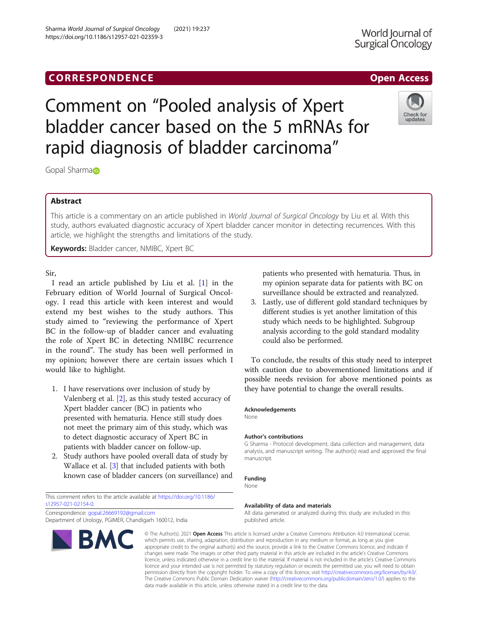## **CORRESPONDENCE CORRESPONDENCE CORRESPONDENCE**

# Comment on "Pooled analysis of Xpert bladder cancer based on the 5 mRNAs for rapid diagnosis of bladder carcinoma"

Gopal Sharma<sub>D</sub>

#### Abstract

This article is a commentary on an article published in World Journal of Surgical Oncology by Liu et al. With this study, authors evaluated diagnostic accuracy of Xpert bladder cancer monitor in detecting recurrences. With this article, we highlight the strengths and limitations of the study.

Keywords: Bladder cancer, NMIBC, Xpert BC

Sir,

I read an article published by Liu et al. [[1](#page-1-0)] in the February edition of World Journal of Surgical Oncology. I read this article with keen interest and would extend my best wishes to the study authors. This study aimed to "reviewing the performance of Xpert BC in the follow-up of bladder cancer and evaluating the role of Xpert BC in detecting NMIBC recurrence in the round". The study has been well performed in my opinion; however there are certain issues which I would like to highlight.

- 1. I have reservations over inclusion of study by Valenberg et al. [\[2](#page-1-0)], as this study tested accuracy of Xpert bladder cancer (BC) in patients who presented with hematuria. Hence still study does not meet the primary aim of this study, which was to detect diagnostic accuracy of Xpert BC in patients with bladder cancer on follow-up.
- 2. Study authors have pooled overall data of study by Wallace et al. [[3\]](#page-1-0) that included patients with both known case of bladder cancers (on surveillance) and

This comment refers to the article available at [https://doi.org/10.1186/](https://doi.org/10.1186/s12957-021-02154-0) [s12957-021-02154-0](https://doi.org/10.1186/s12957-021-02154-0).

Correspondence: [gopal.26669192@gmail.com](mailto:gopal.26669192@gmail.com) Department of Urology, PGIMER, Chandigarh 160012, India

BMC

### patients who presented with hematuria. Thus, in my opinion separate data for patients with BC on surveillance should be extracted and reanalyzed.

3. Lastly, use of different gold standard techniques by different studies is yet another limitation of this study which needs to be highlighted. Subgroup analysis according to the gold standard modality could also be performed.

To conclude, the results of this study need to interpret with caution due to abovementioned limitations and if possible needs revision for above mentioned points as they have potential to change the overall results.

#### Acknowledgements

None

#### Author's contributions

G Sharma - Protocol development, data collection and management, data analysis, and manuscript writing. The author(s) read and approved the final manuscript.

#### Funding

None

#### Availability of data and materials

All data generated or analyzed during this study are included in this published article.

© The Author(s), 2021 **Open Access** This article is licensed under a Creative Commons Attribution 4.0 International License, which permits use, sharing, adaptation, distribution and reproduction in any medium or format, as long as you give appropriate credit to the original author(s) and the source, provide a link to the Creative Commons licence, and indicate if changes were made. The images or other third party material in this article are included in the article's Creative Commons licence, unless indicated otherwise in a credit line to the material. If material is not included in the article's Creative Commons licence and your intended use is not permitted by statutory regulation or exceeds the permitted use, you will need to obtain permission directly from the copyright holder. To view a copy of this licence, visit [http://creativecommons.org/licenses/by/4.0/.](http://creativecommons.org/licenses/by/4.0/) The Creative Commons Public Domain Dedication waiver [\(http://creativecommons.org/publicdomain/zero/1.0/](http://creativecommons.org/publicdomain/zero/1.0/)) applies to the data made available in this article, unless otherwise stated in a credit line to the data.

Sharma World Journal of Surgical Oncology (2021) 19:237 https://doi.org/10.1186/s12957-021-02359-3





Check for updates